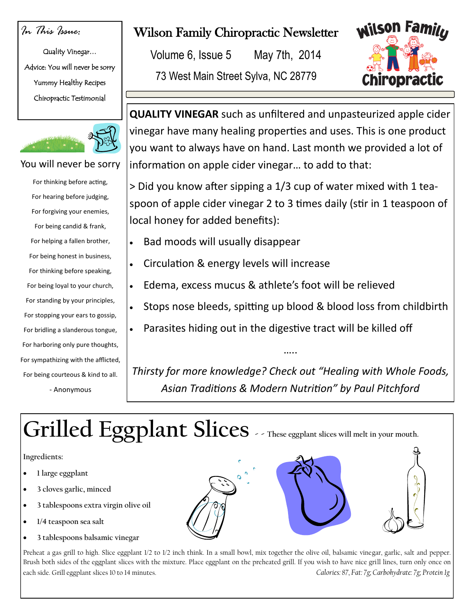## *In This Issue:*

Quality Vinegar… Advice: You will never be sorry Yummy Healthy Recipes Chiropractic Testimonial



#### You will never be sorry

For thinking before acting, For hearing before judging, For forgiving your enemies, For being candid & frank, For helping a fallen brother, For being honest in business, For thinking before speaking, For being loyal to your church, For standing by your principles, For stopping your ears to gossip, For bridling a slanderous tongue, For harboring only pure thoughts, For sympathizing with the afflicted, For being courteous & kind to all. - Anonymous

## Wilson Family Chiropractic Newsletter

Volume 6, Issue 5 May 7th, 2014

73 West Main Street Sylva, NC 28779



**QUALITY VINEGAR** such as unfiltered and unpasteurized apple cider vinegar have many healing properties and uses. This is one product you want to always have on hand. Last month we provided a lot of information on apple cider vinegar… to add to that:

> Did you know after sipping a 1/3 cup of water mixed with 1 teaspoon of apple cider vinegar 2 to 3 times daily (stir in 1 teaspoon of local honey for added benefits):

- Bad moods will usually disappear
- Circulation & energy levels will increase
- Edema, excess mucus & athlete's foot will be relieved
- Stops nose bleeds, spitting up blood & blood loss from childbirth
- Parasites hiding out in the digestive tract will be killed off

*Thirsty for more knowledge? Check out "Healing with Whole Foods, Asian Traditions & Modern Nutrition" by Paul Pitchford* 

…..

# **Grilled Eggplant Slices - - These eggplant slices will melt in your mouth.**

### **Ingredients:**

- **1 large eggplant**
- **3 cloves garlic, minced**
- **3 tablespoons extra virgin olive oil**
- **1/4 teaspoon sea salt**
- **3 tablespoons balsamic vinegar**

Preheat a gas grill to high. Slice eggplant 1/2 to 1/2 inch think. In a small bowl, mix together the olive oil, balsamic vinegar, garlic, salt and pepper. Brush both sides of the eggplant slices with the mixture. Place eggplant on the preheated grill. If you wish to have nice grill lines, turn only once on each side. Grill eggplant slices 10 to 14 minutes. *Calories: 87, Fat: 7g; Carbohydrate: 7g; Protein 1g**Calories: 87, Fat: 7g; Carbohydrate: 7g; Protein 1g*